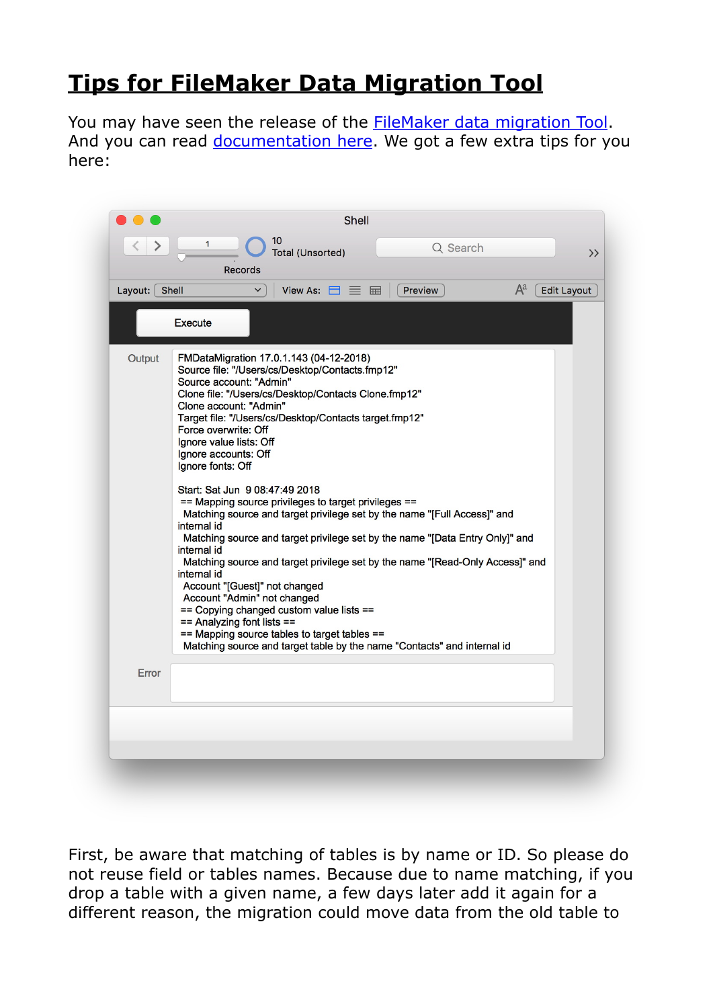## **[Tips for FileMaker Data Migration Tool](https://www.mbs-plugins.com/archive/2018-06-09/Tips_for_FileMaker_Data_Migrat/monkeybreadsoftware_blog_filemaker)**

You may have seen the release of the **FileMaker data migration Tool**. And you can read [documentation here](https://fmhelp.filemaker.com/docs/edition/en/migration/). We got a few extra tips for you here:

|             |                                                                                                                                                                                                                                                                                                                                                                                                                                                                                                                                                                                                                                                                                                                                                                                                                                                                                                                                                 | Shell    |                             |
|-------------|-------------------------------------------------------------------------------------------------------------------------------------------------------------------------------------------------------------------------------------------------------------------------------------------------------------------------------------------------------------------------------------------------------------------------------------------------------------------------------------------------------------------------------------------------------------------------------------------------------------------------------------------------------------------------------------------------------------------------------------------------------------------------------------------------------------------------------------------------------------------------------------------------------------------------------------------------|----------|-----------------------------|
|             | 10<br>1<br><b>Total (Unsorted)</b><br>Records                                                                                                                                                                                                                                                                                                                                                                                                                                                                                                                                                                                                                                                                                                                                                                                                                                                                                                   | Q Search | $\rightarrow$               |
| Layout: $[$ | Shell<br>View As: $\Box \equiv \boxplus$<br>$\checkmark$                                                                                                                                                                                                                                                                                                                                                                                                                                                                                                                                                                                                                                                                                                                                                                                                                                                                                        | Preview  | $A^a$<br><b>Edit Layout</b> |
|             | Execute                                                                                                                                                                                                                                                                                                                                                                                                                                                                                                                                                                                                                                                                                                                                                                                                                                                                                                                                         |          |                             |
| Output      | FMDataMigration 17.0.1.143 (04-12-2018)<br>Source file: "/Users/cs/Desktop/Contacts.fmp12"<br>Source account: "Admin"<br>Clone file: "/Users/cs/Desktop/Contacts Clone.fmp12"<br>Clone account: "Admin"<br>Target file: "/Users/cs/Desktop/Contacts target.fmp12"<br>Force overwrite: Off<br>Ignore value lists: Off<br>Ignore accounts: Off<br>Ignore fonts: Off<br>Start: Sat Jun 9 08:47:49 2018<br>== Mapping source privileges to target privileges ==<br>Matching source and target privilege set by the name "[Full Access]" and<br>internal id<br>Matching source and target privilege set by the name "[Data Entry Only]" and<br>internal id<br>Matching source and target privilege set by the name "[Read-Only Access]" and<br>internal id<br>Account "[Guest]" not changed<br>Account "Admin" not changed<br>== Copying changed custom value lists ==<br>== Analyzing font lists ==<br>== Mapping source tables to target tables == |          |                             |
| Error       | Matching source and target table by the name "Contacts" and internal id                                                                                                                                                                                                                                                                                                                                                                                                                                                                                                                                                                                                                                                                                                                                                                                                                                                                         |          |                             |

First, be aware that matching of tables is by name or ID. So please do not reuse field or tables names. Because due to name matching, if you drop a table with a given name, a few days later add it again for a different reason, the migration could move data from the old table to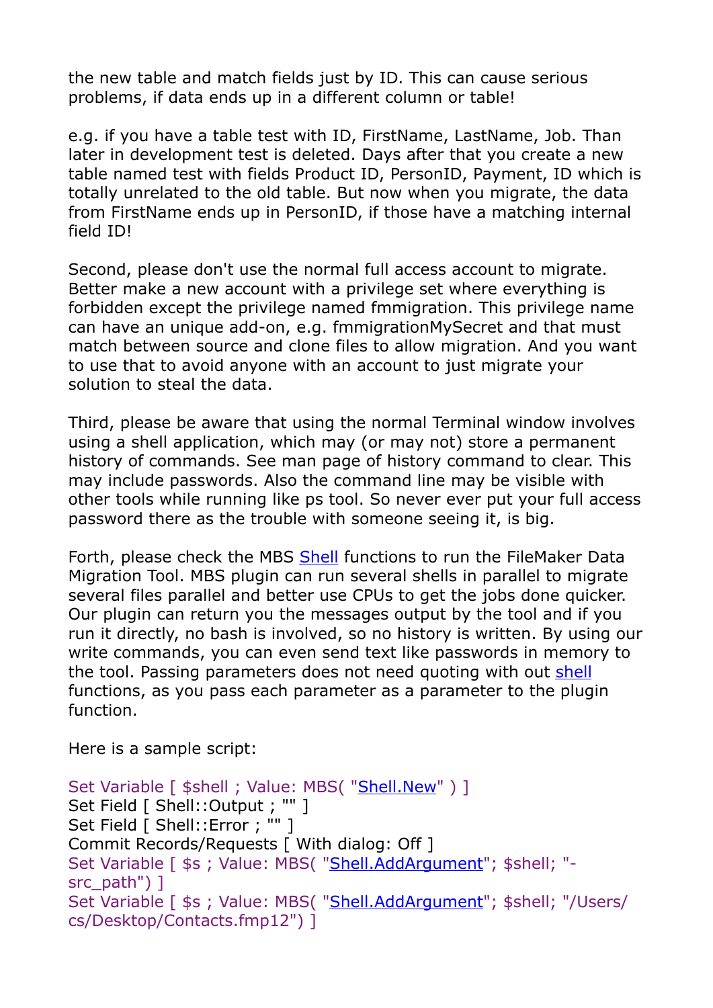the new table and match fields just by ID. This can cause serious problems, if data ends up in a different column or table!

e.g. if you have a table test with ID, FirstName, LastName, Job. Than later in development test is deleted. Days after that you create a new table named test with fields Product ID, PersonID, Payment, ID which is totally unrelated to the old table. But now when you migrate, the data from FirstName ends up in PersonID, if those have a matching internal field ID!

Second, please don't use the normal full access account to migrate. Better make a new account with a privilege set where everything is forbidden except the privilege named fmmigration. This privilege name can have an unique add-on, e.g. fmmigrationMySecret and that must match between source and clone files to allow migration. And you want to use that to avoid anyone with an account to just migrate your solution to steal the data.

Third, please be aware that using the normal Terminal window involves using a shell application, which may (or may not) store a permanent history of commands. See man page of history command to clear. This may include passwords. Also the command line may be visible with other tools while running like ps tool. So never ever put your full access password there as the trouble with someone seeing it, is big.

Forth, please check the MBS [Shell](http://www.mbsplugins.eu/component_Shell.shtml) functions to run the FileMaker Data Migration Tool. MBS plugin can run several shells in parallel to migrate several files parallel and better use CPUs to get the jobs done quicker. Our plugin can return you the messages output by the tool and if you run it directly, no bash is involved, so no history is written. By using our write commands, you can even send text like passwords in memory to the tool. Passing parameters does not need quoting with out [shell](http://www.mbsplugins.eu/component_Shell.shtml) functions, as you pass each parameter as a parameter to the plugin function.

Here is a sample script:

```
Shell.New" ) ]
Set Field [ Shell:: Output ; "" ]
Set Field [ Shell::Error ; "" ]
Commit Records/Requests [ With dialog: Off ] 
"Shell.AddArgument"; $shell; "-
src_path") ] 
Set Variable [ $s ; Value: MBS( "Shell.AddArgument"; $shell; "/Users/
cs/Desktop/Contacts.fmp12") ]
```